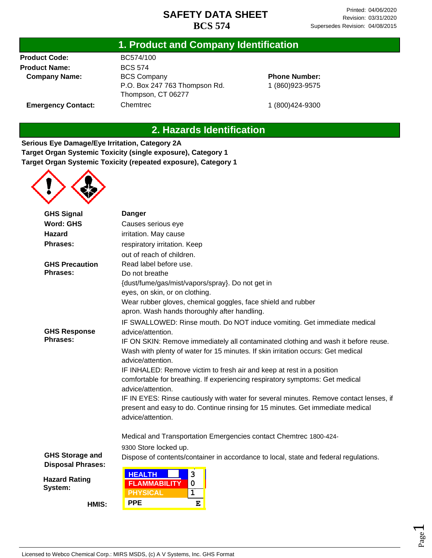#### **1. Product and Company Identification**

**Product Code: Product Name: Company Name:**

**Emergency Contact:**

BC574/100 BCS 574 BCS Company P.O. Box 247 763 Thompson Rd. Thompson, CT 06277 **Chemtrec** 

**Phone Number:** 1 (860)923-9575

1 (800)424-9300

#### **2. Hazards Identification**

**Serious Eye Damage/Eye Irritation, Category 2A Target Organ Systemic Toxicity (single exposure), Category 1 Target Organ Systemic Toxicity (repeated exposure), Category 1**



| <b>GHS Signal</b>                                                                | <b>Danger</b>                                                                          |  |  |
|----------------------------------------------------------------------------------|----------------------------------------------------------------------------------------|--|--|
| <b>Word: GHS</b>                                                                 | Causes serious eye                                                                     |  |  |
| <b>Hazard</b>                                                                    | irritation. May cause                                                                  |  |  |
| <b>Phrases:</b>                                                                  | respiratory irritation. Keep                                                           |  |  |
|                                                                                  | out of reach of children.                                                              |  |  |
| <b>GHS Precaution</b>                                                            | Read label before use.                                                                 |  |  |
| <b>Phrases:</b>                                                                  | Do not breathe                                                                         |  |  |
|                                                                                  | {dust/fume/gas/mist/vapors/spray}. Do not get in                                       |  |  |
|                                                                                  | eyes, on skin, or on clothing.                                                         |  |  |
|                                                                                  | Wear rubber gloves, chemical goggles, face shield and rubber                           |  |  |
|                                                                                  | apron. Wash hands thoroughly after handling.                                           |  |  |
|                                                                                  | IF SWALLOWED: Rinse mouth. Do NOT induce vomiting. Get immediate medical               |  |  |
| <b>GHS Response</b>                                                              | advice/attention.                                                                      |  |  |
| <b>Phrases:</b>                                                                  | IF ON SKIN: Remove immediately all contaminated clothing and wash it before reuse.     |  |  |
| Wash with plenty of water for 15 minutes. If skin irritation occurs: Get medical |                                                                                        |  |  |
|                                                                                  | advice/attention.                                                                      |  |  |
|                                                                                  | IF INHALED: Remove victim to fresh air and keep at rest in a position                  |  |  |
|                                                                                  | comfortable for breathing. If experiencing respiratory symptoms: Get medical           |  |  |
|                                                                                  | advice/attention.                                                                      |  |  |
|                                                                                  | IF IN EYES: Rinse cautiously with water for several minutes. Remove contact lenses, if |  |  |
|                                                                                  | present and easy to do. Continue rinsing for 15 minutes. Get immediate medical         |  |  |
|                                                                                  | advice/attention.                                                                      |  |  |
|                                                                                  | Medical and Transportation Emergencies contact Chemtrec 1800-424-                      |  |  |
|                                                                                  | 9300 Store locked up.                                                                  |  |  |
| <b>GHS Storage and</b>                                                           | Dispose of contents/container in accordance to local, state and federal regulations.   |  |  |
| <b>Disposal Phrases:</b>                                                         |                                                                                        |  |  |
| <b>Hazard Rating</b>                                                             | <b>HEALTH</b><br>3                                                                     |  |  |
| System:                                                                          | <b>FLAMMABILITY</b><br>$\mathbf 0$                                                     |  |  |
|                                                                                  | <b>PHYSICAL</b><br>$\mathbf{1}$                                                        |  |  |
| HMIS:                                                                            | <b>PPE</b><br>E                                                                        |  |  |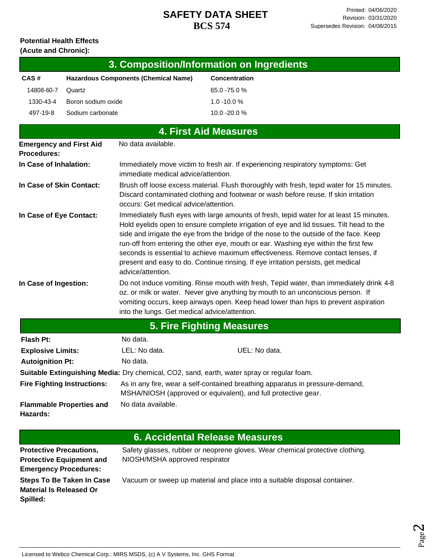#### **Potential Health Effects (Acute and Chronic):**

| 3. Composition/Information on Ingredients   |                      |  |  |
|---------------------------------------------|----------------------|--|--|
| <b>Hazardous Components (Chemical Name)</b> | <b>Concentration</b> |  |  |
| Quartz                                      | 65.0 -75.0 %         |  |  |
| Boron sodium oxide                          | $1.0 - 10.0 %$       |  |  |
| Sodium carbonate                            | $10.0 - 20.0 %$      |  |  |
|                                             |                      |  |  |

| <b>4. First Aid Measures</b>                                                               |                                                                                                                                                                                                                                                                                                                                                                                                                                                                                                                                                                     |                                                                                 |  |  |
|--------------------------------------------------------------------------------------------|---------------------------------------------------------------------------------------------------------------------------------------------------------------------------------------------------------------------------------------------------------------------------------------------------------------------------------------------------------------------------------------------------------------------------------------------------------------------------------------------------------------------------------------------------------------------|---------------------------------------------------------------------------------|--|--|
| <b>Emergency and First Aid</b><br><b>Procedures:</b>                                       | No data available.                                                                                                                                                                                                                                                                                                                                                                                                                                                                                                                                                  |                                                                                 |  |  |
| In Case of Inhalation:                                                                     | immediate medical advice/attention.                                                                                                                                                                                                                                                                                                                                                                                                                                                                                                                                 | Immediately move victim to fresh air. If experiencing respiratory symptoms: Get |  |  |
| In Case of Skin Contact:                                                                   | Brush off loose excess material. Flush thoroughly with fresh, tepid water for 15 minutes.<br>Discard contaminated clothing and footwear or wash before reuse. If skin irritation<br>occurs: Get medical advice/attention.                                                                                                                                                                                                                                                                                                                                           |                                                                                 |  |  |
| In Case of Eye Contact:                                                                    | Immediately flush eyes with large amounts of fresh, tepid water for at least 15 minutes.<br>Hold eyelids open to ensure complete irrigation of eye and lid tissues. Tilt head to the<br>side and irrigate the eye from the bridge of the nose to the outside of the face. Keep<br>run-off from entering the other eye, mouth or ear. Washing eye within the first few<br>seconds is essential to achieve maximum effectiveness. Remove contact lenses, if<br>present and easy to do. Continue rinsing. If eye irritation persists, get medical<br>advice/attention. |                                                                                 |  |  |
| In Case of Ingestion:                                                                      | Do not induce vomiting. Rinse mouth with fresh, Tepid water, than immediately drink 4-8<br>oz. or milk or water. Never give anything by mouth to an unconscious person. If<br>vomiting occurs, keep airways open. Keep head lower than hips to prevent aspiration<br>into the lungs. Get medical advice/attention.                                                                                                                                                                                                                                                  |                                                                                 |  |  |
| <b>5. Fire Fighting Measures</b>                                                           |                                                                                                                                                                                                                                                                                                                                                                                                                                                                                                                                                                     |                                                                                 |  |  |
| Flash Pt:                                                                                  | No data.                                                                                                                                                                                                                                                                                                                                                                                                                                                                                                                                                            |                                                                                 |  |  |
| <b>Explosive Limits:</b>                                                                   | LEL: No data.                                                                                                                                                                                                                                                                                                                                                                                                                                                                                                                                                       | UEL: No data.                                                                   |  |  |
| <b>Autoignition Pt:</b>                                                                    | No data.                                                                                                                                                                                                                                                                                                                                                                                                                                                                                                                                                            |                                                                                 |  |  |
| Suitable Extinguishing Media: Dry chemical, CO2, sand, earth, water spray or regular foam. |                                                                                                                                                                                                                                                                                                                                                                                                                                                                                                                                                                     |                                                                                 |  |  |
| <b>Fire Fighting Instructions:</b>                                                         | As in any fire, wear a self-contained breathing apparatus in pressure-demand,<br>MSHA/NIOSH (approved or equivalent), and full protective gear.                                                                                                                                                                                                                                                                                                                                                                                                                     |                                                                                 |  |  |
| <b>Flammable Properties and</b><br>Hazards:                                                | No data available.                                                                                                                                                                                                                                                                                                                                                                                                                                                                                                                                                  |                                                                                 |  |  |

|                                                                                                   | 6. Accidental Release Measures                                                                                  |
|---------------------------------------------------------------------------------------------------|-----------------------------------------------------------------------------------------------------------------|
| <b>Protective Precautions,</b><br><b>Protective Equipment and</b><br><b>Emergency Procedures:</b> | Safety glasses, rubber or neoprene gloves. Wear chemical protective clothing.<br>NIOSH/MSHA approved respirator |
| <b>Steps To Be Taken In Case</b><br><b>Material Is Released Or</b><br>Spilled:                    | Vacuum or sweep up material and place into a suitable disposal container.                                       |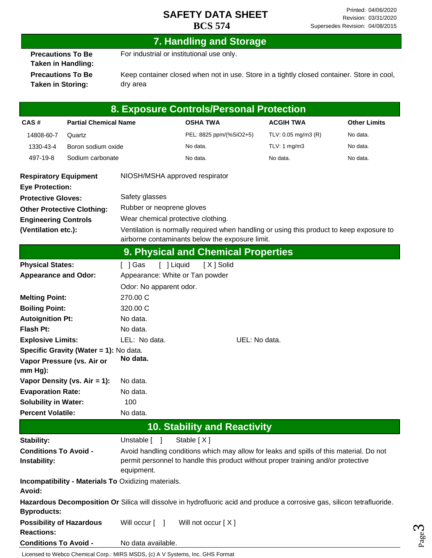Page ო

#### **7. Handling and Storage**

**Precautions To Be Taken in Handling: Precautions To Be Taken in Storing:**

For industrial or institutional use only.

Keep container closed when not in use. Store in a tightly closed container. Store in cool, dry area

| 8. Exposure Controls/Personal Protection             |                                        |                                                                                                                                                                                            |                                                                                                                          |                     |                     |  |
|------------------------------------------------------|----------------------------------------|--------------------------------------------------------------------------------------------------------------------------------------------------------------------------------------------|--------------------------------------------------------------------------------------------------------------------------|---------------------|---------------------|--|
| CAS#                                                 | <b>Partial Chemical Name</b>           |                                                                                                                                                                                            | <b>OSHA TWA</b>                                                                                                          | <b>ACGIH TWA</b>    | <b>Other Limits</b> |  |
| 14808-60-7                                           | Quartz                                 |                                                                                                                                                                                            | PEL: 8825 ppm/(%SiO2+5)                                                                                                  | TLV: 0.05 mg/m3 (R) | No data.            |  |
| 1330-43-4                                            | Boron sodium oxide                     |                                                                                                                                                                                            | No data.                                                                                                                 | TLV: 1 $mg/m3$      | No data.            |  |
| 497-19-8                                             | Sodium carbonate                       |                                                                                                                                                                                            | No data.                                                                                                                 | No data.            | No data.            |  |
| <b>Respiratory Equipment</b>                         |                                        |                                                                                                                                                                                            | NIOSH/MSHA approved respirator                                                                                           |                     |                     |  |
| <b>Eye Protection:</b>                               |                                        |                                                                                                                                                                                            |                                                                                                                          |                     |                     |  |
| <b>Protective Gloves:</b>                            |                                        | Safety glasses                                                                                                                                                                             |                                                                                                                          |                     |                     |  |
|                                                      | <b>Other Protective Clothing:</b>      | Rubber or neoprene gloves                                                                                                                                                                  |                                                                                                                          |                     |                     |  |
| <b>Engineering Controls</b>                          |                                        |                                                                                                                                                                                            | Wear chemical protective clothing.                                                                                       |                     |                     |  |
| (Ventilation etc.):                                  |                                        |                                                                                                                                                                                            | Ventilation is normally required when handling or using this product to keep exposure to                                 |                     |                     |  |
|                                                      |                                        |                                                                                                                                                                                            | airborne contaminants below the exposure limit.                                                                          |                     |                     |  |
|                                                      |                                        |                                                                                                                                                                                            | 9. Physical and Chemical Properties                                                                                      |                     |                     |  |
| <b>Physical States:</b>                              |                                        | [ ] Gas                                                                                                                                                                                    | [ ] Liquid<br>[X] Solid                                                                                                  |                     |                     |  |
| <b>Appearance and Odor:</b>                          |                                        |                                                                                                                                                                                            | Appearance: White or Tan powder                                                                                          |                     |                     |  |
|                                                      |                                        | Odor: No apparent odor.                                                                                                                                                                    |                                                                                                                          |                     |                     |  |
| <b>Melting Point:</b>                                |                                        | 270.00 C                                                                                                                                                                                   |                                                                                                                          |                     |                     |  |
| <b>Boiling Point:</b><br>320.00 C                    |                                        |                                                                                                                                                                                            |                                                                                                                          |                     |                     |  |
| <b>Autoignition Pt:</b><br>No data.                  |                                        |                                                                                                                                                                                            |                                                                                                                          |                     |                     |  |
| Flash Pt:                                            | No data.                               |                                                                                                                                                                                            |                                                                                                                          |                     |                     |  |
| <b>Explosive Limits:</b>                             |                                        | LEL: No data.                                                                                                                                                                              | UEL: No data.                                                                                                            |                     |                     |  |
|                                                      | Specific Gravity (Water = 1): No data. |                                                                                                                                                                                            |                                                                                                                          |                     |                     |  |
| mm Hg):                                              | Vapor Pressure (vs. Air or             | No data.                                                                                                                                                                                   |                                                                                                                          |                     |                     |  |
|                                                      | Vapor Density (vs. Air = 1):           | No data.                                                                                                                                                                                   |                                                                                                                          |                     |                     |  |
| <b>Evaporation Rate:</b><br>No data.                 |                                        |                                                                                                                                                                                            |                                                                                                                          |                     |                     |  |
| <b>Solubility in Water:</b><br>100                   |                                        |                                                                                                                                                                                            |                                                                                                                          |                     |                     |  |
| <b>Percent Volatile:</b>                             |                                        | No data.                                                                                                                                                                                   |                                                                                                                          |                     |                     |  |
| <b>10. Stability and Reactivity</b>                  |                                        |                                                                                                                                                                                            |                                                                                                                          |                     |                     |  |
| Stability:                                           |                                        | Unstable [ ]                                                                                                                                                                               | Stable [X]                                                                                                               |                     |                     |  |
| <b>Conditions To Avoid -</b><br>Instability:         |                                        | Avoid handling conditions which may allow for leaks and spills of this material. Do not<br>permit personnel to handle this product without proper training and/or protective<br>equipment. |                                                                                                                          |                     |                     |  |
| Avoid:                                               |                                        | <b>Incompatibility - Materials To Oxidizing materials.</b>                                                                                                                                 |                                                                                                                          |                     |                     |  |
| <b>Byproducts:</b>                                   |                                        |                                                                                                                                                                                            | Hazardous Decomposition Or Silica will dissolve in hydrofluoric acid and produce a corrosive gas, silicon tetrafluoride. |                     |                     |  |
| <b>Possibility of Hazardous</b><br><b>Reactions:</b> |                                        | Will occur [ ]                                                                                                                                                                             | Will not occur [X]                                                                                                       |                     |                     |  |
| <b>Conditions To Avoid -</b>                         |                                        | No data available.                                                                                                                                                                         |                                                                                                                          |                     |                     |  |

Licensed to Webco Chemical Corp.: MIRS MSDS, (c) A V Systems, Inc. GHS Format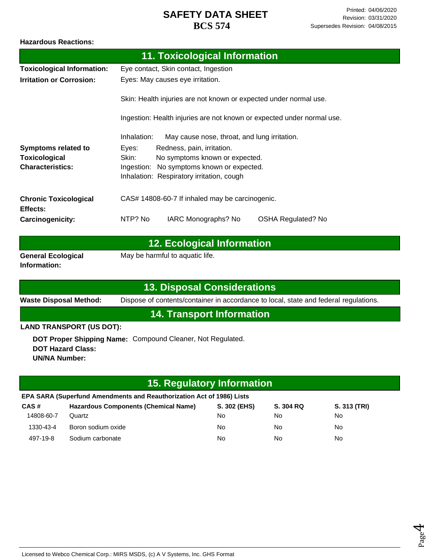#### **Hazardous Reactions:**

|                                           | 11. Toxicological Information                                          |  |  |
|-------------------------------------------|------------------------------------------------------------------------|--|--|
| <b>Toxicological Information:</b>         | Eye contact, Skin contact, Ingestion                                   |  |  |
| <b>Irritation or Corrosion:</b>           | Eyes: May causes eye irritation.                                       |  |  |
|                                           | Skin: Health injuries are not known or expected under normal use.      |  |  |
|                                           | Ingestion: Health injuries are not known or expected under normal use. |  |  |
|                                           | Inhalation:<br>May cause nose, throat, and lung irritation.            |  |  |
| <b>Symptoms related to</b>                | Eyes:<br>Redness, pain, irritation.                                    |  |  |
| <b>Toxicological</b>                      | Skin:<br>No symptoms known or expected.                                |  |  |
| <b>Characteristics:</b>                   | Ingestion: No symptoms known or expected.                              |  |  |
|                                           | Inhalation: Respiratory irritation, cough                              |  |  |
| <b>Chronic Toxicological</b>              | CAS# 14808-60-7 If inhaled may be carcinogenic.                        |  |  |
| Effects:                                  |                                                                        |  |  |
| Carcinogenicity:                          | NTP? No<br>IARC Monographs? No<br><b>OSHA Regulated? No</b>            |  |  |
| <b>12. Ecological Information</b>         |                                                                        |  |  |
| <b>General Ecological</b><br>Information: | May be harmful to aquatic life.                                        |  |  |
|                                           |                                                                        |  |  |

#### **13. Disposal Considerations**

**Waste Disposal Method:** Dispose of contents/container in accordance to local, state and federal regulations.

# **14. Transport Information**

**LAND TRANSPORT (US DOT):**

**DOT Proper Shipping Name:**  Compound Cleaner, Not Regulated. **DOT Hazard Class: UN/NA Number:**

# **15. Regulatory Information**

| EPA SARA (Superfund Amendments and Reauthorization Act of 1986) Lists |                                             |              |           |              |  |
|-----------------------------------------------------------------------|---------------------------------------------|--------------|-----------|--------------|--|
| CAS#                                                                  | <b>Hazardous Components (Chemical Name)</b> | S. 302 (EHS) | S. 304 RQ | S. 313 (TRI) |  |
| 14808-60-7                                                            | Quartz                                      | No           | No        | No.          |  |
| 1330-43-4                                                             | Boron sodium oxide                          | No           | No        | No.          |  |
| 497-19-8                                                              | Sodium carbonate                            | No           | No        | No.          |  |